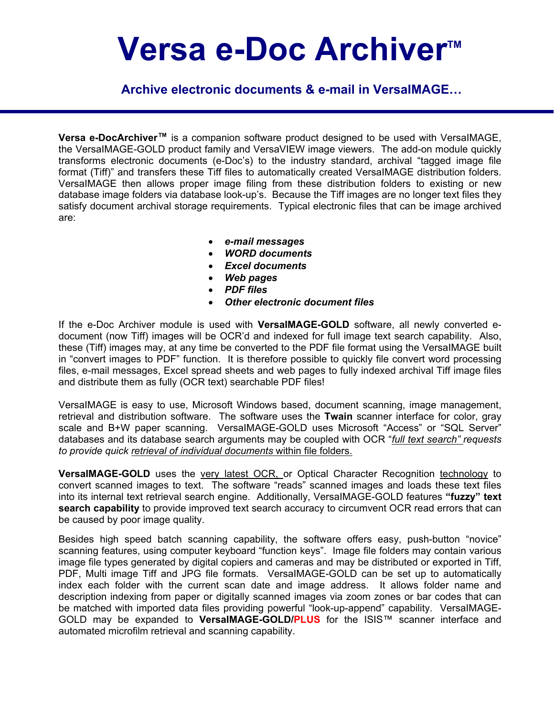# Versa e-Doc Archiver<sup>™</sup>

 **Archive electronic documents & e-mail in VersaIMAGE…**

**Versa e-DocArchiver™** is a companion software product designed to be used with VersaIMAGE, the VersaIMAGE-GOLD product family and VersaVIEW image viewers. The add-on module quickly transforms electronic documents (e-Doc's) to the industry standard, archival "tagged image file format (Tiff)" and transfers these Tiff files to automatically created VersaIMAGE distribution folders. VersaIMAGE then allows proper image filing from these distribution folders to existing or new database image folders via database look-up's. Because the Tiff images are no longer text files they satisfy document archival storage requirements. Typical electronic files that can be image archived are:

- *e-mail messages*
- *WORD documents*
- *Excel documents*
- *Web pages*
- *PDF files*
- *Other electronic document files*

If the e-Doc Archiver module is used with **VersaIMAGE-GOLD** software, all newly converted edocument (now Tiff) images will be OCR'd and indexed for full image text search capability. Also, these (Tiff) images may, at any time be converted to the PDF file format using the VersaIMAGE built in "convert images to PDF" function. It is therefore possible to quickly file convert word processing files, e-mail messages, Excel spread sheets and web pages to fully indexed archival Tiff image files and distribute them as fully (OCR text) searchable PDF files!

VersaIMAGE is easy to use, Microsoft Windows based, document scanning, image management, retrieval and distribution software. The software uses the **Twain** scanner interface for color, gray scale and B+W paper scanning. VersaIMAGE-GOLD uses Microsoft "Access" or "SQL Server" databases and its database search arguments may be coupled with OCR "*full text search" requests to provide quick retrieval of individual documents* within file folders.

**VersaIMAGE-GOLD** uses the very latest OCR, or Optical Character Recognition technology to convert scanned images to text. The software "reads" scanned images and loads these text files into its internal text retrieval search engine. Additionally, VersaIMAGE-GOLD features **"fuzzy" text search capability** to provide improved text search accuracy to circumvent OCR read errors that can be caused by poor image quality.

Besides high speed batch scanning capability, the software offers easy, push-button "novice" scanning features, using computer keyboard "function keys". Image file folders may contain various image file types generated by digital copiers and cameras and may be distributed or exported in Tiff, PDF, Multi image Tiff and JPG file formats. VersaIMAGE-GOLD can be set up to automatically index each folder with the current scan date and image address. It allows folder name and description indexing from paper or digitally scanned images via zoom zones or bar codes that can be matched with imported data files providing powerful "look-up-append" capability. VersaIMAGE-GOLD may be expanded to **VersaIMAGE-GOLD/PLUS** for the ISIS™ scanner interface and automated microfilm retrieval and scanning capability.